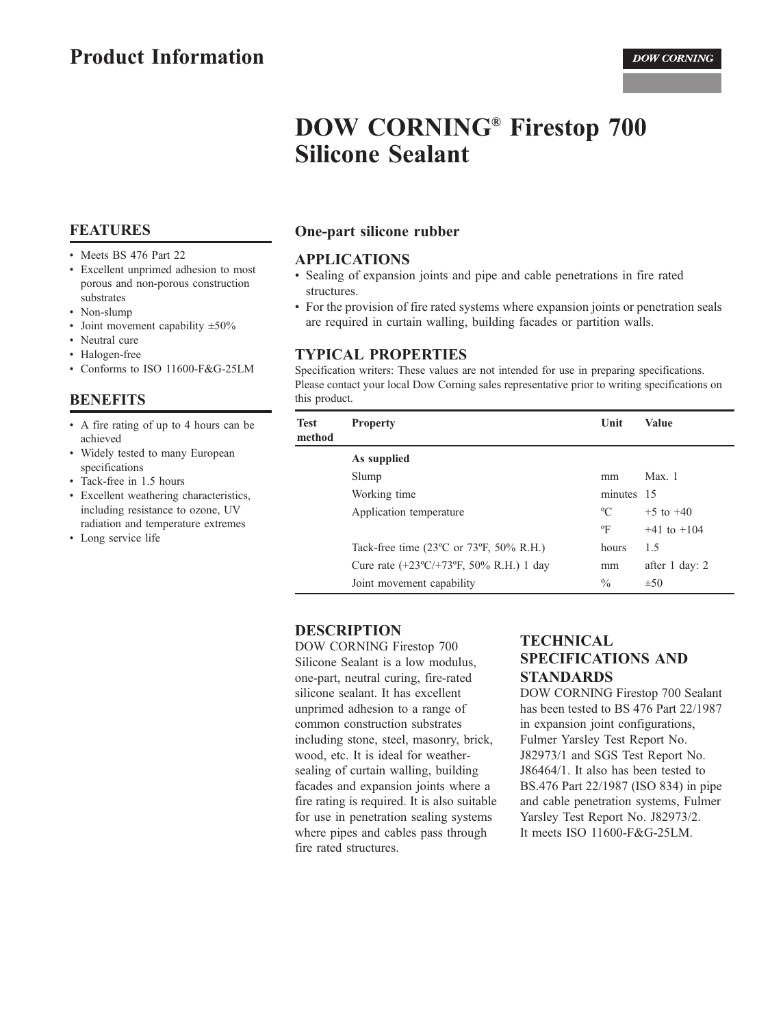# **DOW CORNING® Firestop 700 Silicone Sealant**

# **FEATURES**

- Meets BS 476 Part 22
- Excellent unprimed adhesion to most porous and non-porous construction substrates
- Non-slump
- Joint movement capability  $\pm 50\%$
- Neutral cure
- Halogen-free
- Conforms to ISO 11600-F&G-25LM

# **BENEFITS**

- A fire rating of up to 4 hours can be achieved
- Widely tested to many European specifications
- Tack-free in 1.5 hours
- Excellent weathering characteristics, including resistance to ozone, UV radiation and temperature extremes
- Long service life

# One-part silicone rubber

### **APPLICATIONS**

- Sealing of expansion joints and pipe and cable penetrations in fire rated structures.
- For the provision of fire rated systems where expansion joints or penetration seals are required in curtain walling, building facades or partition walls.

## **TYPICAL PROPERTIES**

Specification writers: These values are not intended for use in preparing specifications. Please contact your local Dow Corning sales representative prior to writing specifications on this product.

| <b>Test</b><br>method | <b>Property</b>                                          | Unit        | <b>Value</b>    |
|-----------------------|----------------------------------------------------------|-------------|-----------------|
|                       | As supplied                                              |             |                 |
|                       | Slump                                                    | mm          | Max.1           |
|                       | Working time                                             | minutes 15  |                 |
|                       | Application temperature                                  | $\rm ^{o}C$ | $+5$ to $+40$   |
|                       |                                                          | $\rm ^{o}F$ | $+41$ to $+104$ |
|                       | Tack-free time $(23^{\circ}$ C or 73°F, 50% R.H.)        | hours       | 1.5             |
|                       | Cure rate $(+23^{\circ}C/+73^{\circ}F, 50\% R.H.)$ 1 day | mm          | after 1 day: 2  |
|                       | Joint movement capability                                | $\%$        | $\pm 50$        |
|                       |                                                          |             |                 |

## **DESCRIPTION**

**DOW CORNING Firestop 700** Silicone Sealant is a low modulus, one-part, neutral curing, fire-rated silicone sealant. It has excellent unprimed adhesion to a range of common construction substrates including stone, steel, masonry, brick, wood, etc. It is ideal for weathersealing of curtain walling, building facades and expansion joints where a fire rating is required. It is also suitable for use in penetration sealing systems where pipes and cables pass through fire rated structures.

# **TECHNICAL SPECIFICATIONS AND STANDARDS**

**DOW CORNING Firestop 700 Sealant** has been tested to BS 476 Part 22/1987 in expansion joint configurations, Fulmer Yarsley Test Report No. J82973/1 and SGS Test Report No. J86464/1. It also has been tested to BS.476 Part 22/1987 (ISO 834) in pipe and cable penetration systems, Fulmer Yarsley Test Report No. J82973/2. It meets ISO 11600-F&G-25LM.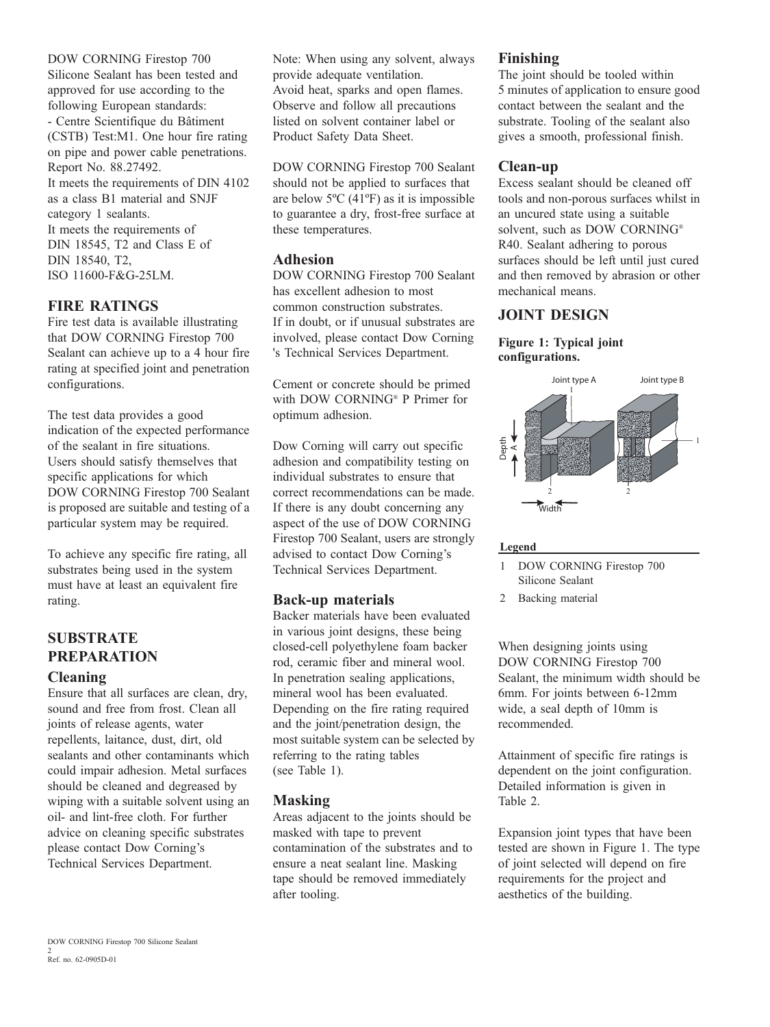**DOW CORNING Firestop 700** Silicone Sealant has been tested and approved for use according to the following European standards: - Centre Scientifique du Bâtiment (CSTB) Test:M1. One hour fire rating on pipe and power cable penetrations. Report No. 88.27492. It meets the requirements of DIN 4102 as a class B1 material and SNJF category 1 sealants. It meets the requirements of DIN 18545, T2 and Class E of DIN 18540, T2. ISO 11600-F&G-25LM.

### **FIRE RATINGS**

Fire test data is available illustrating that DOW CORNING Firestop 700 Sealant can achieve up to a 4 hour fire rating at specified joint and penetration configurations.

The test data provides a good indication of the expected performance of the sealant in fire situations. Users should satisfy themselves that specific applications for which **DOW CORNING Firestop 700 Sealant** is proposed are suitable and testing of a particular system may be required.

To achieve any specific fire rating, all substrates being used in the system must have at least an equivalent fire rating.

# **SURSTRATE PREPARATION Cleaning**

Ensure that all surfaces are clean, dry, sound and free from frost. Clean all joints of release agents, water repellents, laitance, dust, dirt, old sealants and other contaminants which could impair adhesion. Metal surfaces should be cleaned and degreased by wiping with a suitable solvent using an oil- and lint-free cloth. For further advice on cleaning specific substrates please contact Dow Corning's Technical Services Department.

Note: When using any solvent, always provide adequate ventilation. Avoid heat, sparks and open flames. Observe and follow all precautions listed on solvent container label or Product Safety Data Sheet.

**DOW CORNING Firestop 700 Sealant** should not be applied to surfaces that are below  $5^{\circ}$ C (41 $^{\circ}$ F) as it is impossible to guarantee a dry, frost-free surface at these temperatures.

# **Adhesion**

**DOW CORNING Firestop 700 Sealant** has excellent adhesion to most common construction substrates. If in doubt, or if unusual substrates are involved, please contact Dow Corning 's Technical Services Department.

Cement or concrete should be primed with DOW CORNING® P Primer for optimum adhesion.

Dow Corning will carry out specific adhesion and compatibility testing on individual substrates to ensure that correct recommendations can be made. If there is any doubt concerning any aspect of the use of DOW CORNING Firestop 700 Sealant, users are strongly advised to contact Dow Corning's Technical Services Department.

#### **Back-up materials**

Backer materials have been evaluated in various joint designs, these being closed-cell polyethylene foam backer rod, ceramic fiber and mineral wool. In penetration sealing applications. mineral wool has been evaluated. Depending on the fire rating required and the joint/penetration design, the most suitable system can be selected by referring to the rating tables (see Table 1).

### **Masking**

Areas adjacent to the joints should be masked with tape to prevent contamination of the substrates and to ensure a neat sealant line. Masking tape should be removed immediately after tooling.

### Finishing

The joint should be tooled within 5 minutes of application to ensure good contact between the sealant and the substrate. Tooling of the sealant also gives a smooth, professional finish.

### Clean-up

Excess sealant should be cleaned off tools and non-porous surfaces whilst in an uncured state using a suitable solvent, such as DOW CORNING® R40. Sealant adhering to porous surfaces should be left until just cured and then removed by abrasion or other mechanical means.

# **JOINT DESIGN**

#### Figure 1: Typical joint configurations.



#### Legend

- 1 DOW CORNING Firestop 700 Silicone Sealant
- 2 Backing material

When designing joints using **DOW CORNING Firestop 700** Sealant, the minimum width should be 6mm. For joints between 6-12mm wide, a seal depth of 10mm is recommended.

Attainment of specific fire ratings is dependent on the joint configuration. Detailed information is given in Table 2.

Expansion joint types that have been tested are shown in Figure 1. The type of joint selected will depend on fire requirements for the project and aesthetics of the building.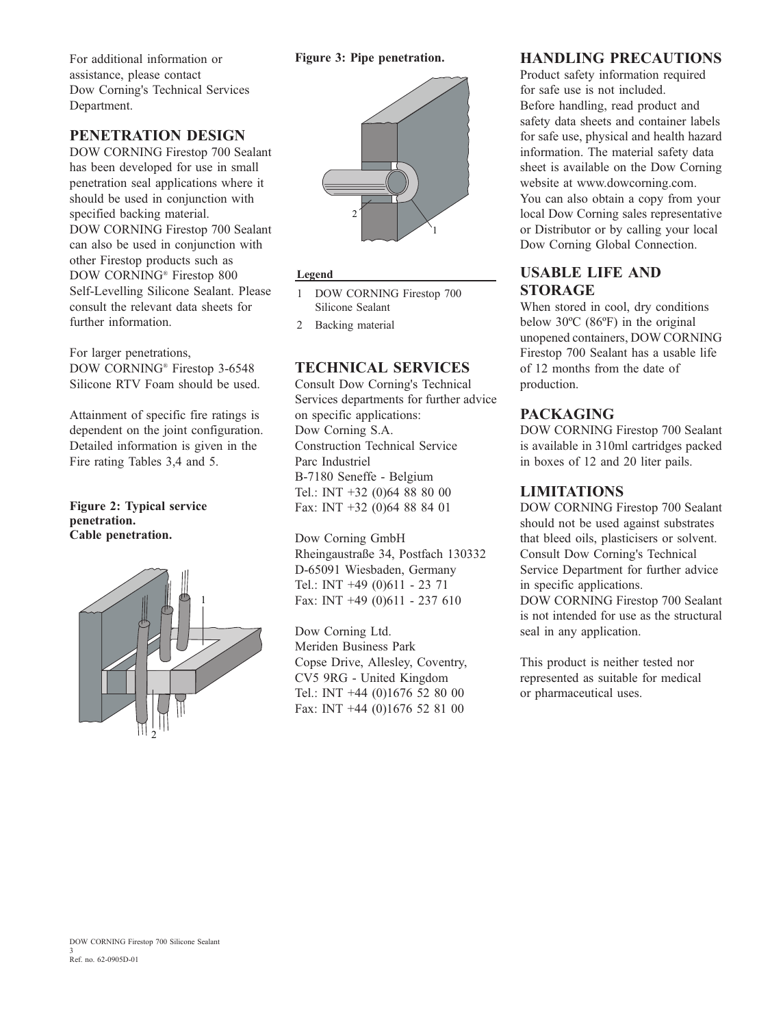### Figure 3: Pipe penetration.

For additional information or assistance, please contact Dow Corning's Technical Services Department.

# PENETRATION DESIGN

**DOW CORNING Firestop 700 Sealant** has been developed for use in small penetration seal applications where it should be used in conjunction with specified backing material. **DOW CORNING Firestop 700 Sealant** can also be used in conjunction with other Firestop products such as DOW CORNING® Firestop 800 Self-Levelling Silicone Sealant. Please consult the relevant data sheets for further information.

For larger penetrations. DOW CORNING® Firestop 3-6548 Silicone RTV Foam should be used.

Attainment of specific fire ratings is dependent on the joint configuration. Detailed information is given in the Fire rating Tables 3,4 and 5.

#### **Figure 2: Typical service** penetration. Cable penetration.





### Legend

- 1 DOW CORNING Firestop 700 Silicone Sealant
- $2^{\circ}$ Backing material

### **TECHNICAL SERVICES**

**Consult Dow Corning's Technical** Services departments for further advice on specific applications: Dow Corning S.A. **Construction Technical Service** Parc Industriel B-7180 Seneffe - Belgium Tel.: INT  $+32$  (0)64 88 80 00 Fax: INT +32 (0)64 88 84 01

Dow Corning GmbH Rheingaustraße 34, Postfach 130332 D-65091 Wiesbaden, Germany Tel.: INT  $+49(0)611 - 2371$ Fax: INT +49 (0)611 - 237 610

Dow Corning Ltd. Meriden Business Park Copse Drive, Allesley, Coventry, CV5 9RG - United Kingdom Tel.: INT +44 (0)1676 52 80 00 Fax: INT +44 (0)1676 52 81 00

## **HANDLING PRECAUTIONS**

Product safety information required for safe use is not included. Before handling, read product and safety data sheets and container labels for safe use, physical and health hazard information. The material safety data sheet is available on the Dow Corning website at www.dowcorning.com. You can also obtain a copy from your local Dow Corning sales representative or Distributor or by calling your local Dow Corning Global Connection.

# **USABLE LIFE AND STORAGE**

When stored in cool, dry conditions below  $30^{\circ}$ C (86 $^{\circ}$ F) in the original unopened containers, DOW CORNING Firestop 700 Sealant has a usable life of 12 months from the date of production.

## **PACKAGING**

**DOW CORNING Firestop 700 Sealant** is available in 310ml cartridges packed in boxes of 12 and 20 liter pails.

# **LIMITATIONS**

DOW CORNING Firestop 700 Sealant should not be used against substrates that bleed oils, plasticisers or solvent. Consult Dow Corning's Technical Service Department for further advice in specific applications. DOW CORNING Firestop 700 Sealant is not intended for use as the structural seal in any application.

This product is neither tested nor represented as suitable for medical or pharmaceutical uses.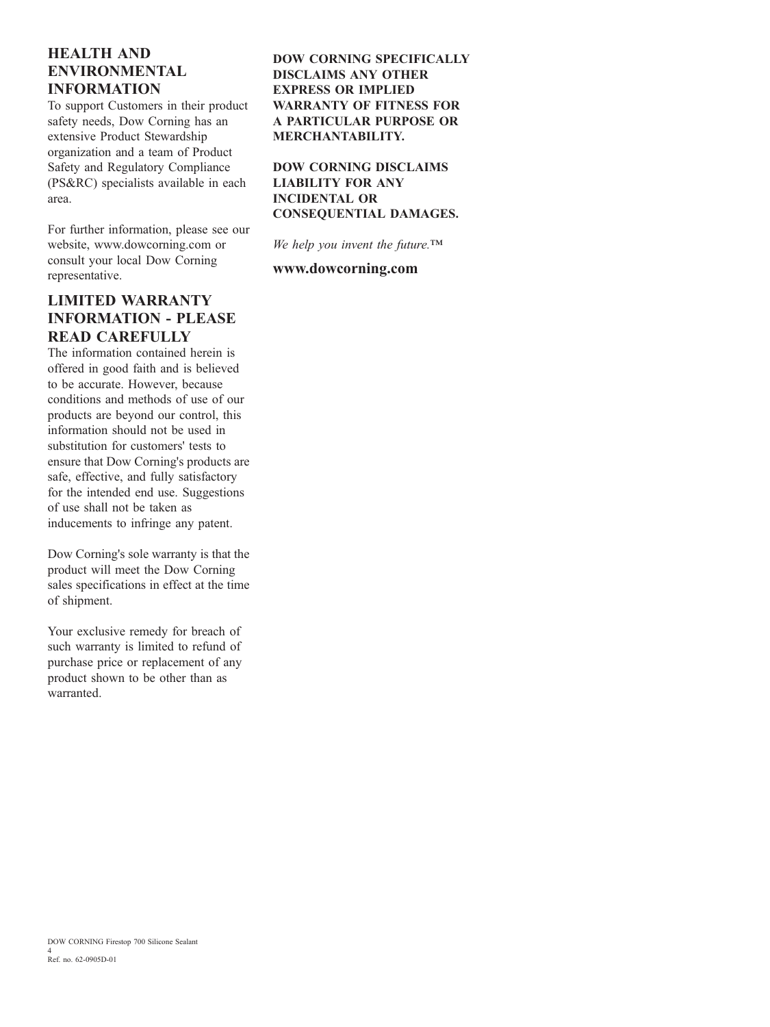# **HEALTH AND ENVIRONMENTAL INFORMATION**

To support Customers in their product safety needs, Dow Corning has an extensive Product Stewardship organization and a team of Product Safety and Regulatory Compliance (PS&RC) specialists available in each area.

For further information, please see our website, www.dowcorning.com or consult your local Dow Corning representative.

# **LIMITED WARRANTY INFORMATION - PLEASE READ CAREFULLY**

The information contained herein is offered in good faith and is believed to be accurate. However, because conditions and methods of use of our products are beyond our control, this information should not be used in substitution for customers' tests to ensure that Dow Corning's products are safe, effective, and fully satisfactory for the intended end use. Suggestions of use shall not be taken as inducements to infringe any patent.

Dow Corning's sole warranty is that the product will meet the Dow Corning sales specifications in effect at the time of shipment.

Your exclusive remedy for breach of such warranty is limited to refund of purchase price or replacement of any product shown to be other than as warranted

### **DOW CORNING SPECIFICALLY DISCLAIMS ANY OTHER EXPRESS OR IMPLIED WARRANTY OF FITNESS FOR A PARTICULAR PURPOSE OR MERCHANTABILITY.**

**DOW CORNING DISCLAIMS LIABILITY FOR ANY INCIDENTAL OR CONSEQUENTIAL DAMAGES.** 

We help you invent the future.  $TM$ 

### www.dowcorning.com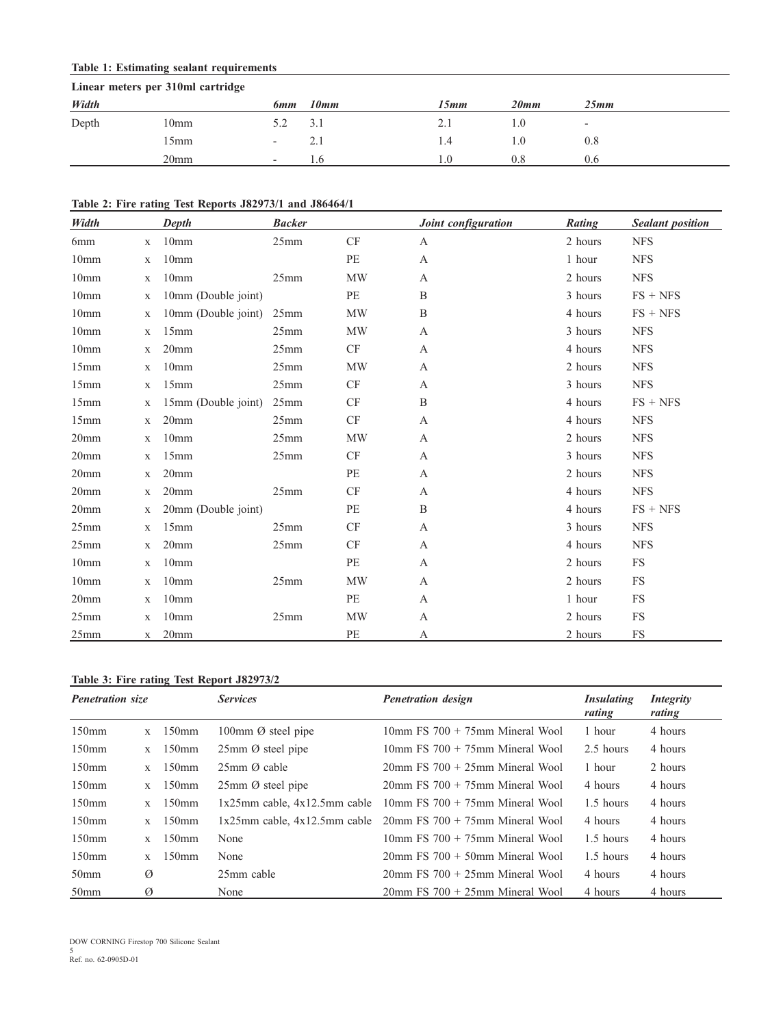### **Table 1: Estimating sealant requirements**

| Linear meters per 310ml cartridge |                  |                          |           |      |      |                          |  |  |  |
|-----------------------------------|------------------|--------------------------|-----------|------|------|--------------------------|--|--|--|
| Width                             |                  | 6 <sub>mm</sub>          | 10mm      | 15mm | 20mm | 25mm                     |  |  |  |
| Depth                             | 10 <sub>mm</sub> |                          | 3.1       | 2.1  | 0.1  | $\overline{\phantom{0}}$ |  |  |  |
|                                   | l 5mm            | $\overline{\phantom{0}}$ | 2.1       | 1.4  | 1.O  | 0.8                      |  |  |  |
|                                   | 20 <sub>mm</sub> | $\overline{a}$           | $\cdot$ b | L.O  | 0.8  | 0.6                      |  |  |  |

#### Table 2: Fire rating Test Reports J82973/1 and J86464/1

| Width            |              | Depth               | <b>Backer</b> |                        | Joint configuration | Rating  | <b>Sealant position</b> |
|------------------|--------------|---------------------|---------------|------------------------|---------------------|---------|-------------------------|
| 6mm              | $\mathbf{X}$ | 10 <sub>mm</sub>    | 25mm          | CF                     | A                   | 2 hours | <b>NFS</b>              |
| 10 <sub>mm</sub> | $\mathbf X$  | 10 <sub>mm</sub>    |               | PE                     | A                   | 1 hour  | <b>NFS</b>              |
| 10mm             | $\mathbf{X}$ | 10 <sub>mm</sub>    | 25mm          | <b>MW</b>              | A                   | 2 hours | <b>NFS</b>              |
| 10 <sub>mm</sub> | $\mathbf X$  | 10mm (Double joint) |               | PE                     | B                   | 3 hours | $FS + NFS$              |
| 10mm             | $\mathbf X$  | 10mm (Double joint) | 25mm          | <b>MW</b>              | $\, {\bf B}$        | 4 hours | $FS + NFS$              |
| 10 <sub>mm</sub> | $\mathbf X$  | 15mm                | 25mm          | <b>MW</b>              | $\mathbf{A}$        | 3 hours | <b>NFS</b>              |
| 10 <sub>mm</sub> | $\mathbf{X}$ | 20 <sub>mm</sub>    | 25mm          | CF                     | A                   | 4 hours | <b>NFS</b>              |
| 15mm             | $\mathbf X$  | 10mm                | 25mm          | MW                     | A                   | 2 hours | <b>NFS</b>              |
| 15mm             | $\mathbf X$  | 15mm                | 25mm          | CF                     | A                   | 3 hours | <b>NFS</b>              |
| 15mm             | $\mathbf X$  | 15mm (Double joint) | 25mm          | CF                     | B                   | 4 hours | $FS + NFS$              |
| 15mm             | $\mathbf{X}$ | 20 <sub>mm</sub>    | 25mm          | CF                     | A                   | 4 hours | <b>NFS</b>              |
| 20mm             | $\mathbf X$  | 10 <sub>mm</sub>    | 25mm          | MW                     | A                   | 2 hours | <b>NFS</b>              |
| 20 <sub>mm</sub> | $\mathbf X$  | 15mm                | 25mm          | CF                     | A                   | 3 hours | <b>NFS</b>              |
| 20 <sub>mm</sub> | $\mathbf X$  | 20 <sub>mm</sub>    |               | PE                     | A                   | 2 hours | <b>NFS</b>              |
| 20 <sub>mm</sub> | $\mathbf X$  | 20 <sub>mm</sub>    | 25mm          | $\mathrm{C}\mathrm{F}$ | A                   | 4 hours | <b>NFS</b>              |
| 20 <sub>mm</sub> | $\mathbf X$  | 20mm (Double joint) |               | PE                     | B                   | 4 hours | $FS + NFS$              |
| 25mm             | $\mathbf{X}$ | 15mm                | 25mm          | CF                     | $\mathbf{A}$        | 3 hours | <b>NFS</b>              |
| 25mm             | $\mathbf{X}$ | 20mm                | 25mm          | <b>CF</b>              | A                   | 4 hours | <b>NFS</b>              |
| 10 <sub>mm</sub> | $\mathbf X$  | 10 <sub>mm</sub>    |               | PE                     | $\mathbf{A}$        | 2 hours | <b>FS</b>               |
| 10 <sub>mm</sub> | $\mathbf{X}$ | 10 <sub>mm</sub>    | 25mm          | <b>MW</b>              | A                   | 2 hours | <b>FS</b>               |
| 20 <sub>mm</sub> | $\mathbf{X}$ | 10 <sub>mm</sub>    |               | PE                     | A                   | 1 hour  | <b>FS</b>               |
| 25mm             | $\mathbf{X}$ | 10 <sub>mm</sub>    | 25mm          | <b>MW</b>              | A                   | 2 hours | <b>FS</b>               |
| 25mm             | X            | 20mm                |               | PE                     | A                   | 2 hours | FS                      |

# Table 3: Fire rating Test Report J82973/2

| <b>Penetration size</b> |              |          | <b>Services</b>                         | <b>Penetration design</b>                           | <i>Insulating</i><br>rating | <i>Integrity</i><br>rating |
|-------------------------|--------------|----------|-----------------------------------------|-----------------------------------------------------|-----------------------------|----------------------------|
| 150mm                   | $\mathbf{X}$ | $150$ mm | 100mm $\varnothing$ steel pipe          | $10mm$ FS 700 + 75 $mm$ Mineral Wool                | 1 hour                      | 4 hours                    |
| $150$ mm                | X            | $150$ mm | $25 \text{mm}$ $\varnothing$ steel pipe | $10 \text{mm}$ FS $700 + 75 \text{mm}$ Mineral Wool | 2.5 hours                   | 4 hours                    |
| $150$ mm                | $\mathbf{x}$ | $150$ mm | $25 \text{mm}$ $\varnothing$ cable      | $20\text{mm}$ FS $700 + 25\text{mm}$ Mineral Wool   | 1 hour                      | 2 hours                    |
| $150$ mm                | $\mathbf{X}$ | $150$ mm | $25 \text{mm}$ $\varnothing$ steel pipe | $20\text{mm}$ FS $700 + 75\text{mm}$ Mineral Wool   | 4 hours                     | 4 hours                    |
| 150 <sub>mm</sub>       | $\mathbf{x}$ | $150$ mm | $1x25mm$ cable, $4x12.5mm$ cable        | $10mm$ FS 700 + 75 $mm$ Mineral Wool                | 1.5 hours                   | 4 hours                    |
| 150 <sub>mm</sub>       | $\mathbf{x}$ | $150$ mm | $1x25$ mm cable, $4x12.5$ mm cable      | $20$ mm FS $700 + 75$ mm Mineral Wool               | 4 hours                     | 4 hours                    |
| 150 <sub>mm</sub>       | $\mathbf{x}$ | $150$ mm | None                                    | $10 \text{mm}$ FS $700 + 75 \text{mm}$ Mineral Wool | 1.5 hours                   | 4 hours                    |
| $150$ mm                | $\mathbf{x}$ | $150$ mm | None                                    | $20 \text{mm}$ FS $700 + 50 \text{mm}$ Mineral Wool | 1.5 hours                   | 4 hours                    |
| 50 <sub>mm</sub>        | Ø            |          | 25mm cable                              | $20\text{mm}$ FS $700 + 25\text{mm}$ Mineral Wool   | 4 hours                     | 4 hours                    |
| 50 <sub>mm</sub>        | Ø            |          | None                                    | $20\text{mm}$ FS $700 + 25\text{mm}$ Mineral Wool   | 4 hours                     | 4 hours                    |